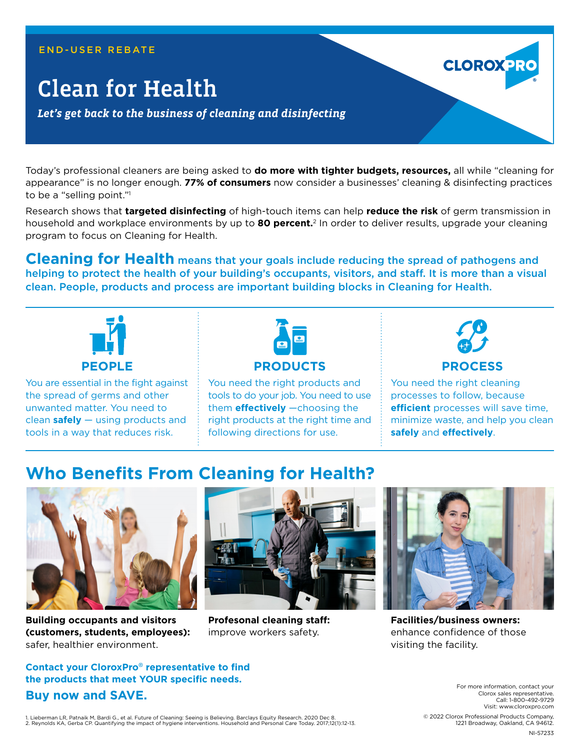#### END-USER REBATE

# Clean for Health

*Let's get back to the business of cleaning and disinfecting*

Today's professional cleaners are being asked to **do more with tighter budgets, resources,** all while "cleaning for appearance" is no longer enough. **77% of consumers** now consider a businesses' cleaning & disinfecting practices to be a "selling point."1

Research shows that **targeted disinfecting** of high-touch items can help **reduce the risk** of germ transmission in household and workplace environments by up to **80 percent.**2 In order to deliver results, upgrade your cleaning program to focus on Cleaning for Health.

**Cleaning for Health** means that your goals include reducing the spread of pathogens and helping to protect the health of your building's occupants, visitors, and staff. It is more than a visual clean. People, products and process are important building blocks in Cleaning for Health.



You are essential in the fight against the spread of germs and other unwanted matter. You need to clean **safely** — using products and tools in a way that reduces risk.



You need the right products and tools to do your job. You need to use them **effectively** —choosing the right products at the right time and following directions for use.



**CLOROX PR** 

### **PROCESS**

You need the right cleaning processes to follow, because **efficient** processes will save time, minimize waste, and help you clean **safely** and **effectively**.

## **Who Benefits From Cleaning for Health?**



**Building occupants and visitors (customers, students, employees):** safer, healthier environment.

**Contact your CloroxPro**® **representative to find the products that meet YOUR specific needs.**



**Profesonal cleaning staff:** improve workers safety.



**Facilities/business owners:** enhance confidence of those visiting the facility.

For more information, contact your Clorox sales representative. Call: 1-800-492-9729 Visit: www.cloroxpro.com

**Buy now and SAVE.**